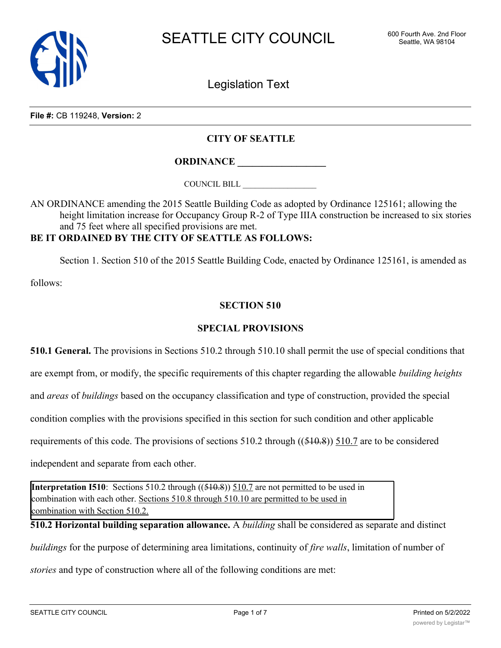

Legislation Text

**File #:** CB 119248, **Version:** 2

### **CITY OF SEATTLE**

**ORDINANCE \_\_\_\_\_\_\_\_\_\_\_\_\_\_\_\_\_\_**

COUNCIL BILL \_\_\_\_\_\_\_\_\_\_\_\_\_\_\_\_\_\_

AN ORDINANCE amending the 2015 Seattle Building Code as adopted by Ordinance 125161; allowing the height limitation increase for Occupancy Group R-2 of Type IIIA construction be increased to six stories and 75 feet where all specified provisions are met.

### **BE IT ORDAINED BY THE CITY OF SEATTLE AS FOLLOWS:**

Section 1. Section 510 of the 2015 Seattle Building Code, enacted by Ordinance 125161, is amended as

follows:

#### **SECTION 510**

#### **SPECIAL PROVISIONS**

**510.1 General.** The provisions in Sections 510.2 through 510.10 shall permit the use of special conditions that

are exempt from, or modify, the specific requirements of this chapter regarding the allowable *building heights*

and *areas* of *buildings* based on the occupancy classification and type of construction, provided the special

condition complies with the provisions specified in this section for such condition and other applicable

requirements of this code. The provisions of sections  $510.2$  through  $((510.8))$   $510.7$  are to be considered

independent and separate from each other.

**Interpretation I510**: Sections 510.2 through ((510.8)) 510.7 are not permitted to be used in combination with each other. Sections 510.8 through 510.10 are permitted to be used in combination with Section 510.2.

**510.2 Horizontal building separation allowance.** A *building* shall be considered as separate and distinct

*buildings* for the purpose of determining area limitations, continuity of *fire walls*, limitation of number of

*stories* and type of construction where all of the following conditions are met: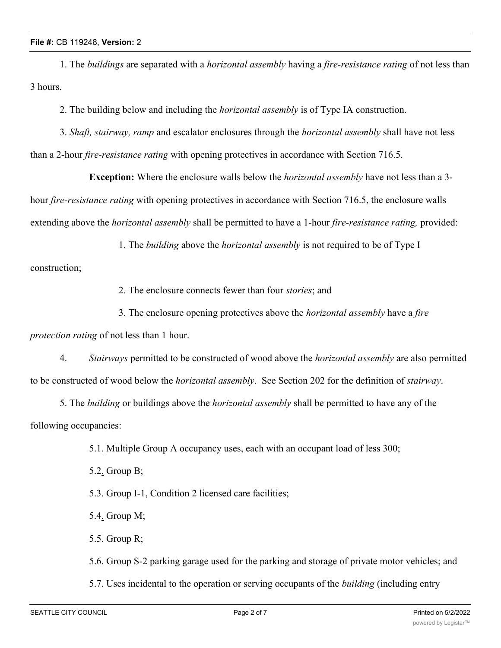1. The *buildings* are separated with a *horizontal assembly* having a *fire-resistance rating* of not less than 3 hours.

2. The building below and including the *horizontal assembly* is of Type IA construction.

3. *Shaft, stairway, ramp* and escalator enclosures through the *horizontal assembly* shall have not less than a 2-hour *fire-resistance rating* with opening protectives in accordance with Section 716.5.

**Exception:** Where the enclosure walls below the *horizontal assembly* have not less than a 3 hour *fire-resistance rating* with opening protectives in accordance with Section 716.5, the enclosure walls extending above the *horizontal assembly* shall be permitted to have a 1-hour *fire-resistance rating,* provided:

1. The *building* above the *horizontal assembly* is not required to be of Type I

construction;

2. The enclosure connects fewer than four *stories*; and

3. The enclosure opening protectives above the *horizontal assembly* have a *fire*

*protection rating* of not less than 1 hour.

4. *Stairways* permitted to be constructed of wood above the *horizontal assembly* are also permitted to be constructed of wood below the *horizontal assembly*. See Section 202 for the definition of *stairway*.

5. The *building* or buildings above the *horizontal assembly* shall be permitted to have any of the following occupancies:

5.1. Multiple Group A occupancy uses, each with an occupant load of less 300;

5.2. Group B;

5.3. Group I-1, Condition 2 licensed care facilities;

5.4. Group M;

5.5. Group R;

5.6. Group S-2 parking garage used for the parking and storage of private motor vehicles; and

5.7. Uses incidental to the operation or serving occupants of the *building* (including entry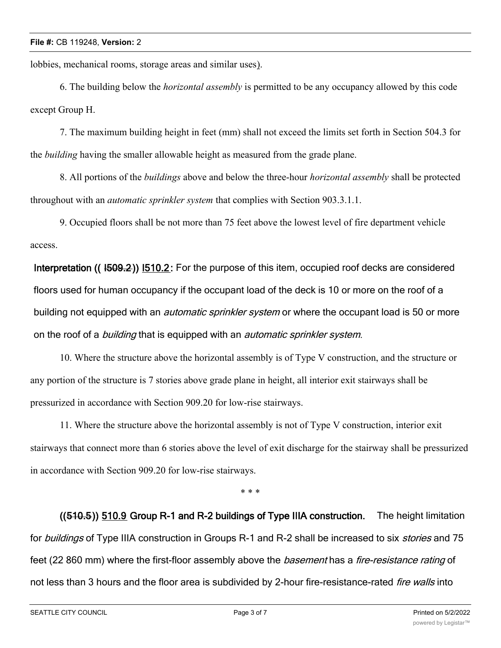lobbies, mechanical rooms, storage areas and similar uses).

6. The building below the *horizontal assembly* is permitted to be any occupancy allowed by this code except Group H.

7. The maximum building height in feet (mm) shall not exceed the limits set forth in Section 504.3 for the *building* having the smaller allowable height as measured from the grade plane.

8. All portions of the *buildings* above and below the three-hour *horizontal assembly* shall be protected throughout with an *automatic sprinkler system* that complies with Section 903.3.1.1.

9. Occupied floors shall be not more than 75 feet above the lowest level of fire department vehicle access.

**Interpretation (( I509.2)) I510.2:** For the purpose of this item, occupied roof decks are considered floors used for human occupancy if the occupant load of the deck is 10 or more on the roof of a building not equipped with an *automatic sprinkler system* or where the occupant load is 50 or more on the roof of a *building* that is equipped with an *automatic sprinkler system*.

10. Where the structure above the horizontal assembly is of Type V construction, and the structure or any portion of the structure is 7 stories above grade plane in height, all interior exit stairways shall be pressurized in accordance with Section 909.20 for low-rise stairways.

11. Where the structure above the horizontal assembly is not of Type V construction, interior exit stairways that connect more than 6 stories above the level of exit discharge for the stairway shall be pressurized in accordance with Section 909.20 for low-rise stairways.

\* \* \*

**((510.5)) 510.9 Group R-1 and R-2 buildings of Type IIIA construction.** The height limitation for *buildings* of Type IIIA construction in Groups R-1 and R-2 shall be increased to six *stories* and 75 feet (22 860 mm) where the first-floor assembly above the *basement* has a *fire-resistance rating* of not less than 3 hours and the floor area is subdivided by 2-hour fire-resistance-rated *fire walls* into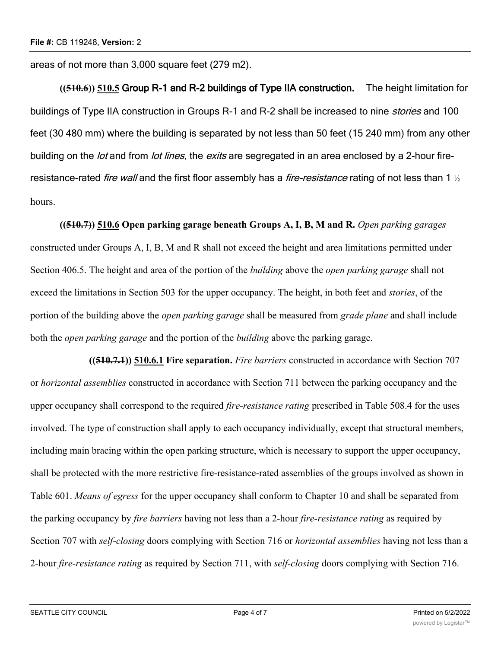areas of not more than 3,000 square feet (279 m2).

**((510.6)) 510.5 Group R-1 and R-2 buildings of Type IIA construction.** The height limitation for buildings of Type IIA construction in Groups R-1 and R-2 shall be increased to nine *stories* and 100 feet (30 480 mm) where the building is separated by not less than 50 feet (15 240 mm) from any other building on the *lot* and from *lot lines*, the *exits* are segregated in an area enclosed by a 2-hour fireresistance-rated *fire wall* and the first floor assembly has a *fire-resistance* rating of not less than 1 ½ hours.

**((510.7)) 510.6 Open parking garage beneath Groups A, I, B, M and R.** *Open parking garages* constructed under Groups A, I, B, M and R shall not exceed the height and area limitations permitted under Section 406.5. The height and area of the portion of the *building* above the *open parking garage* shall not exceed the limitations in Section 503 for the upper occupancy. The height, in both feet and *stories*, of the portion of the building above the *open parking garage* shall be measured from *grade plane* and shall include both the *open parking garage* and the portion of the *building* above the parking garage.

**((510.7.1)) 510.6.1 Fire separation.** *Fire barriers* constructed in accordance with Section 707 or *horizontal assemblies* constructed in accordance with Section 711 between the parking occupancy and the upper occupancy shall correspond to the required *fire-resistance rating* prescribed in Table 508.4 for the uses involved. The type of construction shall apply to each occupancy individually, except that structural members, including main bracing within the open parking structure, which is necessary to support the upper occupancy, shall be protected with the more restrictive fire-resistance-rated assemblies of the groups involved as shown in Table 601. *Means of egress* for the upper occupancy shall conform to Chapter 10 and shall be separated from the parking occupancy by *fire barriers* having not less than a 2-hour *fire-resistance rating* as required by Section 707 with *self-closing* doors complying with Section 716 or *horizontal assemblies* having not less than a 2-hour *fire-resistance rating* as required by Section 711, with *self-closing* doors complying with Section 716.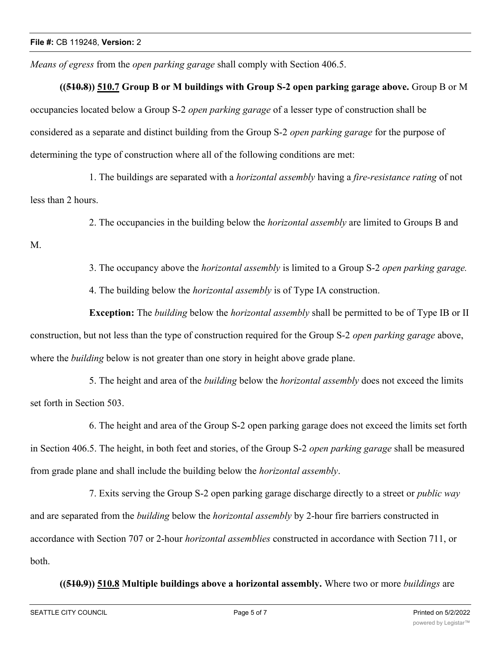*Means of egress* from the *open parking garage* shall comply with Section 406.5.

# **((510.8)) 510.7 Group B or M buildings with Group S-2 open parking garage above.** Group B or M

occupancies located below a Group S-2 *open parking garage* of a lesser type of construction shall be considered as a separate and distinct building from the Group S-2 *open parking garage* for the purpose of determining the type of construction where all of the following conditions are met:

1. The buildings are separated with a *horizontal assembly* having a *fire-resistance rating* of not less than 2 hours.

2. The occupancies in the building below the *horizontal assembly* are limited to Groups B and

M.

3. The occupancy above the *horizontal assembly* is limited to a Group S-2 *open parking garage.*

4. The building below the *horizontal assembly* is of Type IA construction.

**Exception:** The *building* below the *horizontal assembly* shall be permitted to be of Type IB or II construction, but not less than the type of construction required for the Group S-2 *open parking garage* above, where the *building* below is not greater than one story in height above grade plane.

5. The height and area of the *building* below the *horizontal assembly* does not exceed the limits set forth in Section 503.

6. The height and area of the Group S-2 open parking garage does not exceed the limits set forth in Section 406.5. The height, in both feet and stories, of the Group S-2 *open parking garage* shall be measured from grade plane and shall include the building below the *horizontal assembly*.

7. Exits serving the Group S-2 open parking garage discharge directly to a street or *public way* and are separated from the *building* below the *horizontal assembly* by 2-hour fire barriers constructed in accordance with Section 707 or 2-hour *horizontal assemblies* constructed in accordance with Section 711, or both.

**((510.9)) 510.8 Multiple buildings above a horizontal assembly.** Where two or more *buildings* are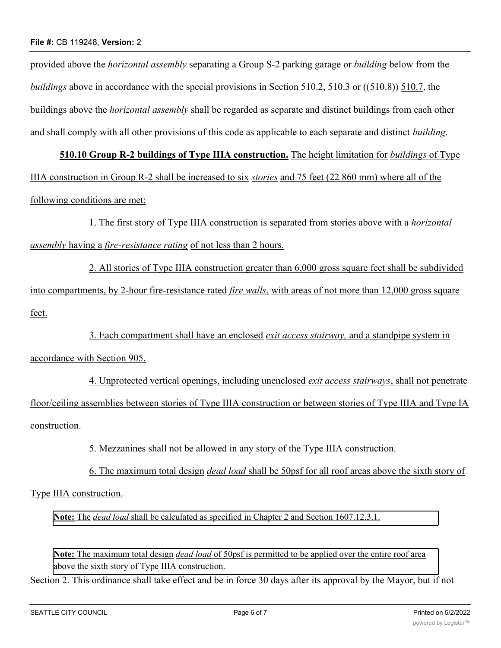#### **File #:** CB 119248, **Version:** 2

provided above the *horizontal assembly* separating a Group S-2 parking garage or *building* below from the *buildings* above in accordance with the special provisions in Section 510.2, 510.3 or ((510.8)) 510.7, the buildings above the *horizontal assembly* shall be regarded as separate and distinct buildings from each other and shall comply with all other provisions of this code as applicable to each separate and distinct *building*.

**510.10 Group R-2 buildings of Type IIIA construction.** The height limitation for *buildings* of Type IIIA construction in Group R-2 shall be increased to six *stories* and 75 feet (22 860 mm) where all of the following conditions are met:

1. The first story of Type IIIA construction is separated from stories above with a *horizontal assembly* having a *fire-resistance rating* of not less than 2 hours.

2. All stories of Type IIIA construction greater than 6,000 gross square feet shall be subdivided into compartments, by 2-hour fire-resistance rated *fire walls*, with areas of not more than 12,000 gross square feet.

3. Each compartment shall have an enclosed *exit access stairway,* and a standpipe system in accordance with Section 905.

4. Unprotected vertical openings, including unenclosed *exit access stairways*, shall not penetrate floor/ceiling assemblies between stories of Type IIIA construction or between stories of Type IIIA and Type IA construction.

5. Mezzanines shall not be allowed in any story of the Type IIIA construction.

6. The maximum total design *dead load* shall be 50psf for all roof areas above the sixth story of

Type IIIA construction.

**Note:** The *dead load* shall be calculated as specified in Chapter 2 and Section 1607.12.3.1.

**Note:** The maximum total design *dead load* of 50psf is permitted to be applied over the entire roof area above the sixth story of Type IIIA construction.

Section 2. This ordinance shall take effect and be in force 30 days after its approval by the Mayor, but if not